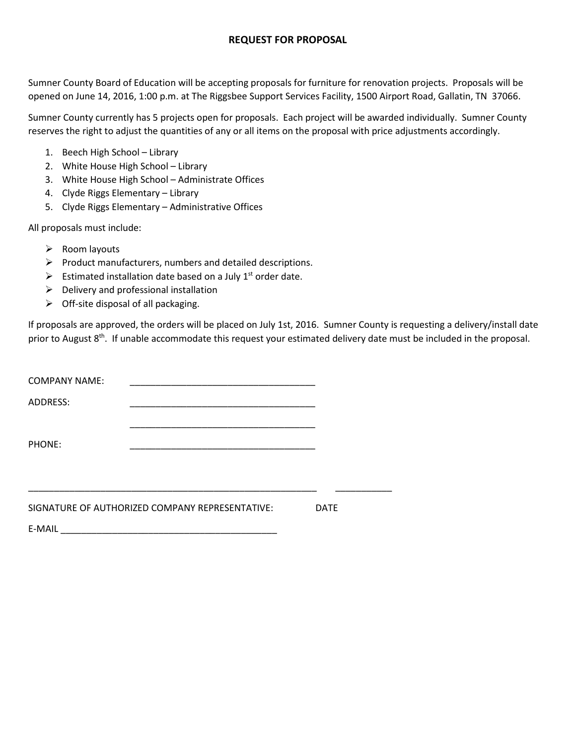#### **REQUEST FOR PROPOSAL**

Sumner County Board of Education will be accepting proposals for furniture for renovation projects. Proposals will be opened on June 14, 2016, 1:00 p.m. at The Riggsbee Support Services Facility, 1500 Airport Road, Gallatin, TN 37066.

Sumner County currently has 5 projects open for proposals. Each project will be awarded individually. Sumner County reserves the right to adjust the quantities of any or all items on the proposal with price adjustments accordingly.

- 1. Beech High School Library
- 2. White House High School Library
- 3. White House High School Administrate Offices
- 4. Clyde Riggs Elementary Library
- 5. Clyde Riggs Elementary Administrative Offices

All proposals must include:

- $\triangleright$  Room layouts
- $\triangleright$  Product manufacturers, numbers and detailed descriptions.
- $\triangleright$  Estimated installation date based on a July 1<sup>st</sup> order date.
- $\triangleright$  Delivery and professional installation
- $\triangleright$  Off-site disposal of all packaging.

If proposals are approved, the orders will be placed on July 1st, 2016. Sumner County is requesting a delivery/install date prior to August 8<sup>th</sup>. If unable accommodate this request your estimated delivery date must be included in the proposal.

| <b>COMPANY NAME:</b> |                                                 |             |  |
|----------------------|-------------------------------------------------|-------------|--|
| ADDRESS:             |                                                 |             |  |
|                      |                                                 |             |  |
| PHONE:               |                                                 |             |  |
|                      |                                                 |             |  |
|                      |                                                 |             |  |
|                      | SIGNATURE OF AUTHORIZED COMPANY REPRESENTATIVE: | <b>DATE</b> |  |

E-MAIL \_\_\_\_\_\_\_\_\_\_\_\_\_\_\_\_\_\_\_\_\_\_\_\_\_\_\_\_\_\_\_\_\_\_\_\_\_\_\_\_\_\_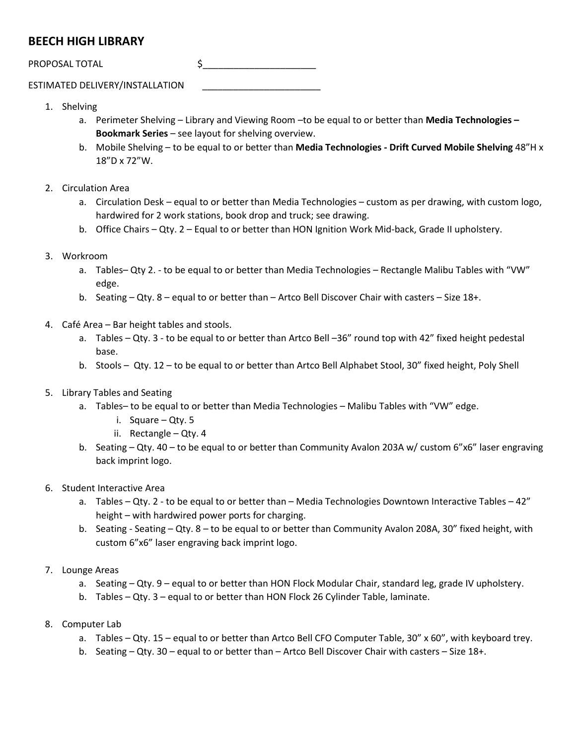## **BEECH HIGH LIBRARY**

PROPOSAL TOTAL \$\_\_\_\_\_\_\_\_\_\_\_\_\_\_\_\_\_\_\_\_\_\_

ESTIMATED DELIVERY/INSTALLATION \_\_\_\_\_\_\_\_\_\_\_\_\_\_\_\_\_\_\_\_\_\_\_

- 1. Shelving
	- a. Perimeter Shelving Library and Viewing Room –to be equal to or better than **Media Technologies – Bookmark Series** – see layout for shelving overview.
	- b. Mobile Shelving to be equal to or better than **Media Technologies - Drift Curved Mobile Shelving** 48"H x 18"D x 72"W.
- 2. Circulation Area
	- a. Circulation Desk equal to or better than Media Technologies custom as per drawing, with custom logo, hardwired for 2 work stations, book drop and truck; see drawing.
	- b. Office Chairs Qty. 2 Equal to or better than HON Ignition Work Mid-back, Grade II upholstery.
- 3. Workroom
	- a. Tables– Qty 2. to be equal to or better than Media Technologies Rectangle Malibu Tables with "VW" edge.
	- b. Seating Qty. 8 equal to or better than Artco Bell Discover Chair with casters Size 18+.
- 4. Café Area Bar height tables and stools.
	- a. Tables Qty. 3 to be equal to or better than Artco Bell –36" round top with 42" fixed height pedestal base.
	- b. Stools Qty. 12 to be equal to or better than Artco Bell Alphabet Stool, 30" fixed height, Poly Shell
- 5. Library Tables and Seating
	- a. Tables– to be equal to or better than Media Technologies Malibu Tables with "VW" edge.
		- i. Square Qty. 5
		- ii. Rectangle Qty. 4
	- b. Seating Qty. 40 to be equal to or better than Community Avalon 203A w/ custom 6"x6" laser engraving back imprint logo.
- 6. Student Interactive Area
	- a. Tables Qty. 2 to be equal to or better than Media Technologies Downtown Interactive Tables 42" height – with hardwired power ports for charging.
	- b. Seating Seating Qty. 8 to be equal to or better than Community Avalon 208A, 30" fixed height, with custom 6"x6" laser engraving back imprint logo.
- 7. Lounge Areas
	- a. Seating Qty. 9 equal to or better than HON Flock Modular Chair, standard leg, grade IV upholstery.
	- b. Tables Qty. 3 equal to or better than HON Flock 26 Cylinder Table, laminate.
- 8. Computer Lab
	- a. Tables Qty. 15 equal to or better than Artco Bell CFO Computer Table, 30" x 60", with keyboard trey.
	- b. Seating Qty. 30 equal to or better than Artco Bell Discover Chair with casters Size 18+.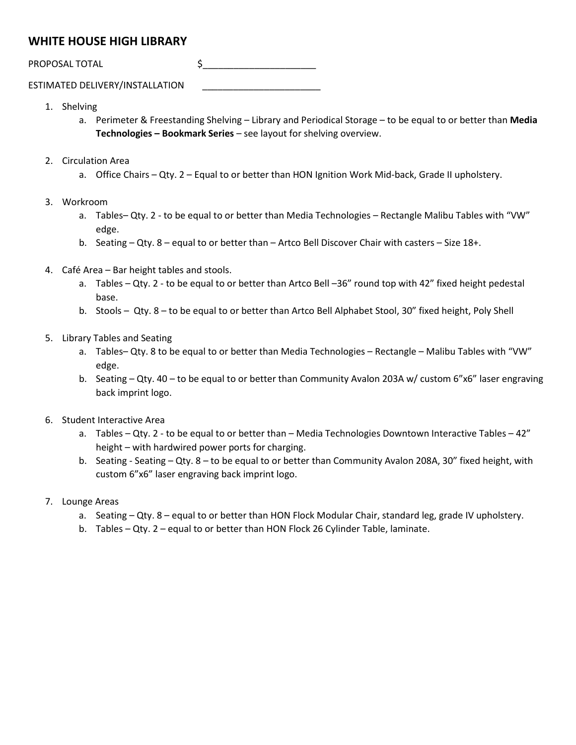## **WHITE HOUSE HIGH LIBRARY**

PROPOSAL TOTAL \$\_\_\_\_\_\_\_\_\_\_\_\_\_\_\_\_\_\_\_\_\_\_

ESTIMATED DELIVERY/INSTALLATION \_\_\_\_\_\_\_\_\_\_\_\_\_\_\_\_\_\_\_\_\_\_\_

- 1. Shelving
	- a. Perimeter & Freestanding Shelving Library and Periodical Storage to be equal to or better than **Media Technologies – Bookmark Series** – see layout for shelving overview.
- 2. Circulation Area
	- a. Office Chairs Qty. 2 Equal to or better than HON Ignition Work Mid-back, Grade II upholstery.
- 3. Workroom
	- a. Tables– Qty. 2 to be equal to or better than Media Technologies Rectangle Malibu Tables with "VW" edge.
	- b. Seating Qty. 8 equal to or better than Artco Bell Discover Chair with casters Size 18+.
- 4. Café Area Bar height tables and stools.
	- a. Tables Qty. 2 to be equal to or better than Artco Bell –36" round top with 42" fixed height pedestal base.
	- b. Stools Qty. 8 to be equal to or better than Artco Bell Alphabet Stool, 30" fixed height, Poly Shell
- 5. Library Tables and Seating
	- a. Tables– Qty. 8 to be equal to or better than Media Technologies Rectangle Malibu Tables with "VW" edge.
	- b. Seating Qty. 40 to be equal to or better than Community Avalon 203A w/ custom 6"x6" laser engraving back imprint logo.
- 6. Student Interactive Area
	- a. Tables Qty. 2 to be equal to or better than Media Technologies Downtown Interactive Tables 42" height – with hardwired power ports for charging.
	- b. Seating Seating Qty. 8 to be equal to or better than Community Avalon 208A, 30" fixed height, with custom 6"x6" laser engraving back imprint logo.
- 7. Lounge Areas
	- a. Seating Qty. 8 equal to or better than HON Flock Modular Chair, standard leg, grade IV upholstery.
	- b. Tables Qty. 2 equal to or better than HON Flock 26 Cylinder Table, laminate.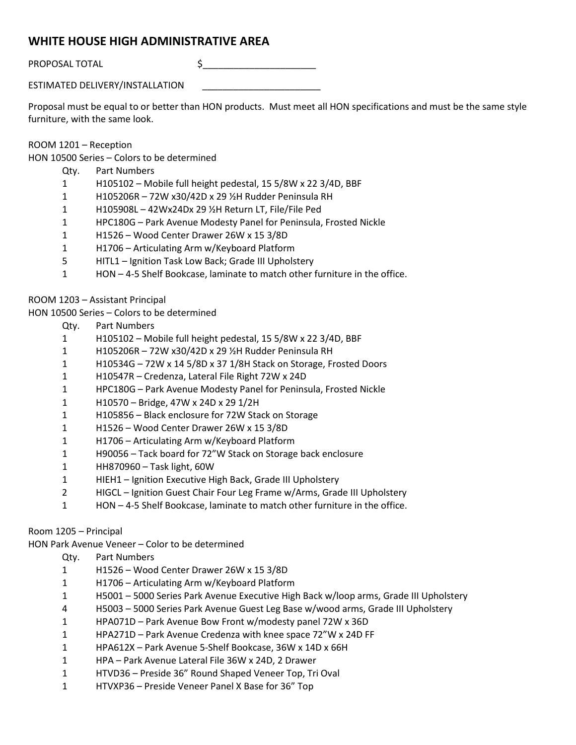## **WHITE HOUSE HIGH ADMINISTRATIVE AREA**

PROPOSAL TOTAL \$\_\_\_\_\_\_\_\_\_\_\_\_\_\_\_\_\_\_\_\_\_\_

ESTIMATED DELIVERY/INSTALLATION \_\_\_\_\_\_\_\_\_\_\_\_\_\_\_\_\_\_\_\_\_\_\_

Proposal must be equal to or better than HON products. Must meet all HON specifications and must be the same style furniture, with the same look.

#### ROOM 1201 – Reception

HON 10500 Series – Colors to be determined

- Qty. Part Numbers
- H105102 Mobile full height pedestal, 15 5/8W x 22 3/4D, BBF
- H105206R 72W x30/42D x 29 ½H Rudder Peninsula RH
- H105908L 42Wx24Dx 29 ½H Return LT, File/File Ped
- HPC180G Park Avenue Modesty Panel for Peninsula, Frosted Nickle
- H1526 Wood Center Drawer 26W x 15 3/8D
- H1706 Articulating Arm w/Keyboard Platform
- HITL1 Ignition Task Low Back; Grade III Upholstery
- HON 4-5 Shelf Bookcase, laminate to match other furniture in the office.

ROOM 1203 – Assistant Principal

HON 10500 Series – Colors to be determined

- Qty. Part Numbers
- H105102 Mobile full height pedestal, 15 5/8W x 22 3/4D, BBF
- H105206R 72W x30/42D x 29 ½H Rudder Peninsula RH
- H10534G 72W x 14 5/8D x 37 1/8H Stack on Storage, Frosted Doors
- H10547R Credenza, Lateral File Right 72W x 24D
- HPC180G Park Avenue Modesty Panel for Peninsula, Frosted Nickle
- H10570 Bridge, 47W x 24D x 29 1/2H
- H105856 Black enclosure for 72W Stack on Storage
- H1526 Wood Center Drawer 26W x 15 3/8D
- H1706 Articulating Arm w/Keyboard Platform
- H90056 Tack board for 72"W Stack on Storage back enclosure
- HH870960 Task light, 60W
- HIEH1 Ignition Executive High Back, Grade III Upholstery
- HIGCL Ignition Guest Chair Four Leg Frame w/Arms, Grade III Upholstery
- HON 4-5 Shelf Bookcase, laminate to match other furniture in the office.

#### Room 1205 – Principal

HON Park Avenue Veneer – Color to be determined

- Qty. Part Numbers
- H1526 Wood Center Drawer 26W x 15 3/8D
- H1706 Articulating Arm w/Keyboard Platform
- H5001 5000 Series Park Avenue Executive High Back w/loop arms, Grade III Upholstery
- H5003 5000 Series Park Avenue Guest Leg Base w/wood arms, Grade III Upholstery
- HPA071D Park Avenue Bow Front w/modesty panel 72W x 36D
- HPA271D Park Avenue Credenza with knee space 72"W x 24D FF
- HPA612X Park Avenue 5-Shelf Bookcase, 36W x 14D x 66H
- HPA Park Avenue Lateral File 36W x 24D, 2 Drawer
- HTVD36 Preside 36" Round Shaped Veneer Top, Tri Oval
- HTVXP36 Preside Veneer Panel X Base for 36" Top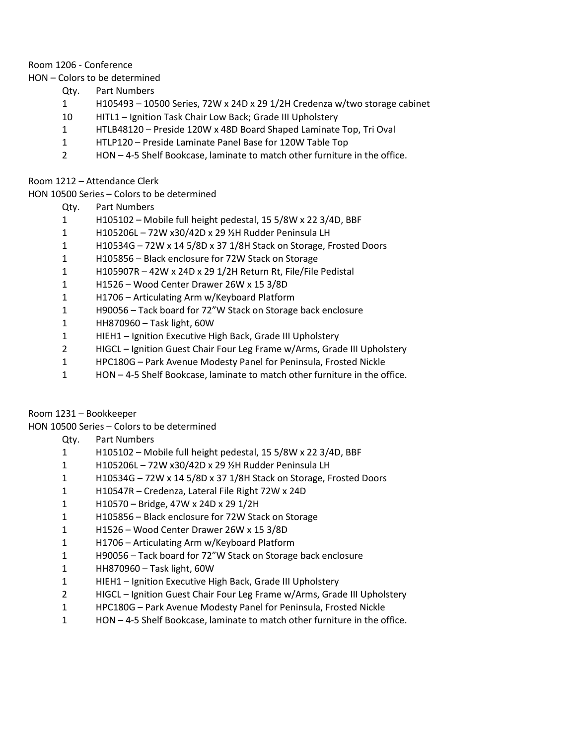#### Room 1206 - Conference

HON – Colors to be determined

- Qty. Part Numbers
- H105493 10500 Series, 72W x 24D x 29 1/2H Credenza w/two storage cabinet
- HITL1 Ignition Task Chair Low Back; Grade III Upholstery
- HTLB48120 Preside 120W x 48D Board Shaped Laminate Top, Tri Oval
- HTLP120 Preside Laminate Panel Base for 120W Table Top
- HON 4-5 Shelf Bookcase, laminate to match other furniture in the office.

Room 1212 – Attendance Clerk

HON 10500 Series – Colors to be determined

- Qty. Part Numbers
- H105102 Mobile full height pedestal, 15 5/8W x 22 3/4D, BBF
- H105206L 72W x30/42D x 29 ½H Rudder Peninsula LH
- H10534G 72W x 14 5/8D x 37 1/8H Stack on Storage, Frosted Doors
- H105856 Black enclosure for 72W Stack on Storage
- H105907R 42W x 24D x 29 1/2H Return Rt, File/File Pedistal
- H1526 Wood Center Drawer 26W x 15 3/8D
- H1706 Articulating Arm w/Keyboard Platform
- H90056 Tack board for 72"W Stack on Storage back enclosure
- HH870960 Task light, 60W
- HIEH1 Ignition Executive High Back, Grade III Upholstery
- HIGCL Ignition Guest Chair Four Leg Frame w/Arms, Grade III Upholstery
- HPC180G Park Avenue Modesty Panel for Peninsula, Frosted Nickle
- HON 4-5 Shelf Bookcase, laminate to match other furniture in the office.

Room 1231 – Bookkeeper

HON 10500 Series – Colors to be determined

- Qty. Part Numbers
- H105102 Mobile full height pedestal, 15 5/8W x 22 3/4D, BBF
- H105206L 72W x30/42D x 29 ½H Rudder Peninsula LH
- H10534G 72W x 14 5/8D x 37 1/8H Stack on Storage, Frosted Doors
- H10547R Credenza, Lateral File Right 72W x 24D
- H10570 Bridge, 47W x 24D x 29 1/2H
- H105856 Black enclosure for 72W Stack on Storage
- H1526 Wood Center Drawer 26W x 15 3/8D
- H1706 Articulating Arm w/Keyboard Platform
- H90056 Tack board for 72"W Stack on Storage back enclosure
- HH870960 Task light, 60W
- HIEH1 Ignition Executive High Back, Grade III Upholstery
- HIGCL Ignition Guest Chair Four Leg Frame w/Arms, Grade III Upholstery
- HPC180G Park Avenue Modesty Panel for Peninsula, Frosted Nickle
- HON 4-5 Shelf Bookcase, laminate to match other furniture in the office.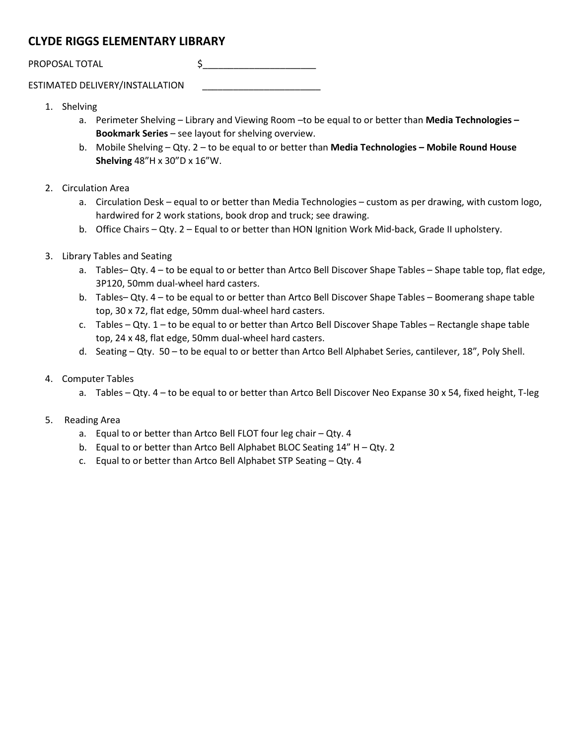## **CLYDE RIGGS ELEMENTARY LIBRARY**

PROPOSAL TOTAL \$\_\_\_\_\_\_\_\_\_\_\_\_\_\_\_\_\_\_\_\_\_\_

ESTIMATED DELIVERY/INSTALLATION \_\_\_\_\_\_\_\_\_\_\_\_\_\_\_\_\_\_\_\_\_\_\_

- 1. Shelving
	- a. Perimeter Shelving Library and Viewing Room –to be equal to or better than **Media Technologies – Bookmark Series** – see layout for shelving overview.
	- b. Mobile Shelving Qty. 2 to be equal to or better than **Media Technologies – Mobile Round House Shelving** 48"H x 30"D x 16"W.
- 2. Circulation Area
	- a. Circulation Desk equal to or better than Media Technologies custom as per drawing, with custom logo, hardwired for 2 work stations, book drop and truck; see drawing.
	- b. Office Chairs Qty. 2 Equal to or better than HON Ignition Work Mid-back, Grade II upholstery.
- 3. Library Tables and Seating
	- a. Tables– Qty. 4 to be equal to or better than Artco Bell Discover Shape Tables Shape table top, flat edge, 3P120, 50mm dual-wheel hard casters.
	- b. Tables– Qty. 4 to be equal to or better than Artco Bell Discover Shape Tables Boomerang shape table top, 30 x 72, flat edge, 50mm dual-wheel hard casters.
	- c. Tables Qty.  $1$  to be equal to or better than Artco Bell Discover Shape Tables Rectangle shape table top, 24 x 48, flat edge, 50mm dual-wheel hard casters.
	- d. Seating Qty. 50 to be equal to or better than Artco Bell Alphabet Series, cantilever, 18", Poly Shell.
- 4. Computer Tables
	- a. Tables Qty. 4 to be equal to or better than Artco Bell Discover Neo Expanse 30 x 54, fixed height, T-leg

#### 5. Reading Area

- a. Equal to or better than Artco Bell FLOT four leg chair Qty. 4
- b. Equal to or better than Artco Bell Alphabet BLOC Seating 14" H Qty. 2
- c. Equal to or better than Artco Bell Alphabet STP Seating Qty. 4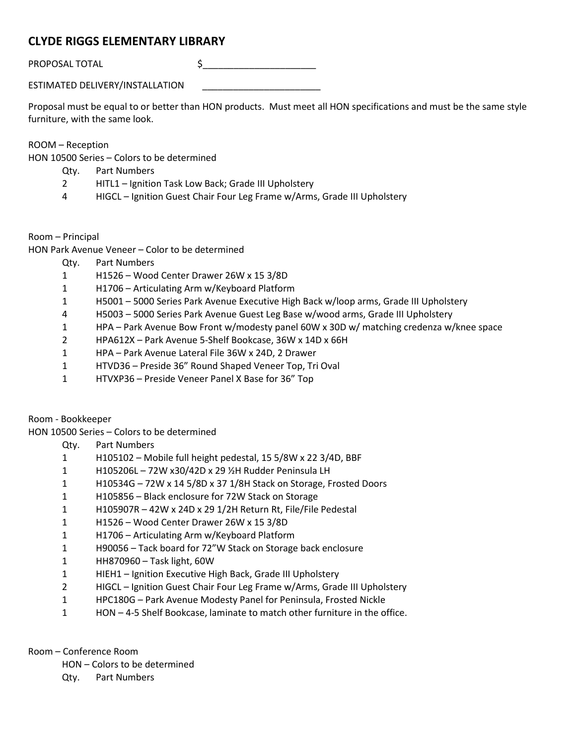## **CLYDE RIGGS ELEMENTARY LIBRARY**

PROPOSAL TOTAL \$\_\_\_\_\_\_\_\_\_\_\_\_\_\_\_\_\_\_\_\_\_\_

ESTIMATED DELIVERY/INSTALLATION \_\_\_\_\_\_\_\_\_\_\_\_\_\_\_\_\_\_\_\_\_\_\_

Proposal must be equal to or better than HON products. Must meet all HON specifications and must be the same style furniture, with the same look.

ROOM – Reception

HON 10500 Series – Colors to be determined

- Qty. Part Numbers
- 2 HITL1 Ignition Task Low Back; Grade III Upholstery
- 4 HIGCL Ignition Guest Chair Four Leg Frame w/Arms, Grade III Upholstery
- Room Principal

HON Park Avenue Veneer – Color to be determined

- Qty. Part Numbers
- 1 H1526 Wood Center Drawer 26W x 15 3/8D
- 1 H1706 Articulating Arm w/Keyboard Platform
- 1 H5001 5000 Series Park Avenue Executive High Back w/loop arms, Grade III Upholstery
- 4 H5003 5000 Series Park Avenue Guest Leg Base w/wood arms, Grade III Upholstery
- 1 HPA Park Avenue Bow Front w/modesty panel 60W x 30D w/ matching credenza w/knee space
- 2 HPA612X Park Avenue 5-Shelf Bookcase, 36W x 14D x 66H
- 1 HPA Park Avenue Lateral File 36W x 24D, 2 Drawer
- 1 HTVD36 Preside 36" Round Shaped Veneer Top, Tri Oval
- 1 HTVXP36 Preside Veneer Panel X Base for 36" Top

Room - Bookkeeper

HON 10500 Series – Colors to be determined

- Qty. Part Numbers
- 1 H105102 Mobile full height pedestal, 15 5/8W x 22 3/4D, BBF
- 1 H105206L 72W x30/42D x 29 ½H Rudder Peninsula LH
- 1 H10534G 72W x 14 5/8D x 37 1/8H Stack on Storage, Frosted Doors
- 1 H105856 Black enclosure for 72W Stack on Storage
- 1 H105907R 42W x 24D x 29 1/2H Return Rt, File/File Pedestal
- 1 H1526 Wood Center Drawer 26W x 15 3/8D
- 1 H1706 Articulating Arm w/Keyboard Platform
- 1 H90056 Tack board for 72"W Stack on Storage back enclosure
- 1 HH870960 Task light, 60W
- 1 HIEH1 Ignition Executive High Back, Grade III Upholstery
- 2 HIGCL Ignition Guest Chair Four Leg Frame w/Arms, Grade III Upholstery
- 1 HPC180G Park Avenue Modesty Panel for Peninsula, Frosted Nickle
- 1 HON 4-5 Shelf Bookcase, laminate to match other furniture in the office.

Room – Conference Room

- HON Colors to be determined
- Qty. Part Numbers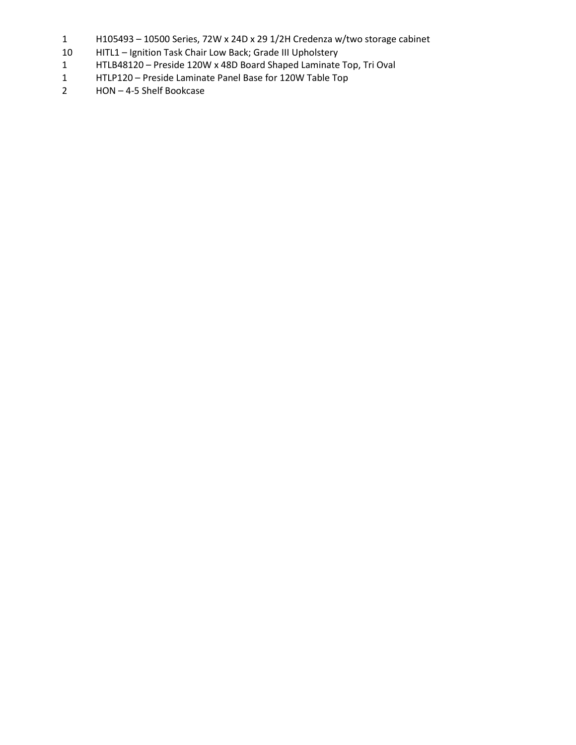- H105493 10500 Series, 72W x 24D x 29 1/2H Credenza w/two storage cabinet
- HITL1 Ignition Task Chair Low Back; Grade III Upholstery
- HTLB48120 Preside 120W x 48D Board Shaped Laminate Top, Tri Oval
- HTLP120 Preside Laminate Panel Base for 120W Table Top
- HON 4-5 Shelf Bookcase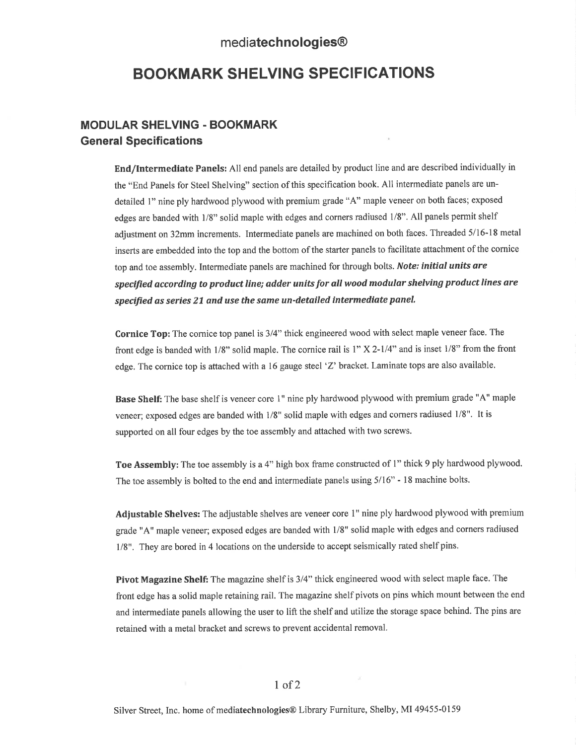## mediatechnologies®

## **BOOKMARK SHELVING SPECIFICATIONS**

#### **MODULAR SHELVING - BOOKMARK General Specifications**

End/Intermediate Panels: All end panels are detailed by product line and are described individually in the "End Panels for Steel Shelving" section of this specification book. All intermediate panels are undetailed 1" nine ply hardwood plywood with premium grade "A" maple veneer on both faces; exposed edges are banded with 1/8" solid maple with edges and corners radiused 1/8". All panels permit shelf adjustment on 32mm increments. Intermediate panels are machined on both faces. Threaded 5/16-18 metal inserts are embedded into the top and the bottom of the starter panels to facilitate attachment of the cornice top and toe assembly. Intermediate panels are machined for through bolts. Note: initial units are specified according to product line; adder units for all wood modular shelving product lines are specified as series 21 and use the same un-detailed intermediate panel.

Cornice Top: The cornice top panel is 3/4" thick engineered wood with select maple veneer face. The front edge is banded with  $1/8$ " solid maple. The cornice rail is  $1" X 2-1/4"$  and is inset  $1/8"$  from the front edge. The cornice top is attached with a 16 gauge steel 'Z' bracket. Laminate tops are also available.

Base Shelf: The base shelf is veneer core 1" nine ply hardwood plywood with premium grade "A" maple veneer; exposed edges are banded with 1/8" solid maple with edges and corners radiused 1/8". It is supported on all four edges by the toe assembly and attached with two screws.

Toe Assembly: The toe assembly is a 4" high box frame constructed of 1" thick 9 ply hardwood plywood. The toe assembly is bolted to the end and intermediate panels using 5/16" - 18 machine bolts.

Adjustable Shelves: The adjustable shelves are veneer core 1" nine ply hardwood plywood with premium grade "A" maple veneer; exposed edges are banded with 1/8" solid maple with edges and corners radiused 1/8". They are bored in 4 locations on the underside to accept seismically rated shelf pins.

Pivot Magazine Shelf: The magazine shelf is 3/4" thick engineered wood with select maple face. The front edge has a solid maple retaining rail. The magazine shelf pivots on pins which mount between the end and intermediate panels allowing the user to lift the shelf and utilize the storage space behind. The pins are retained with a metal bracket and screws to prevent accidental removal.

Silver Street, Inc. home of mediatechnologies® Library Furniture, Shelby, MI 49455-0159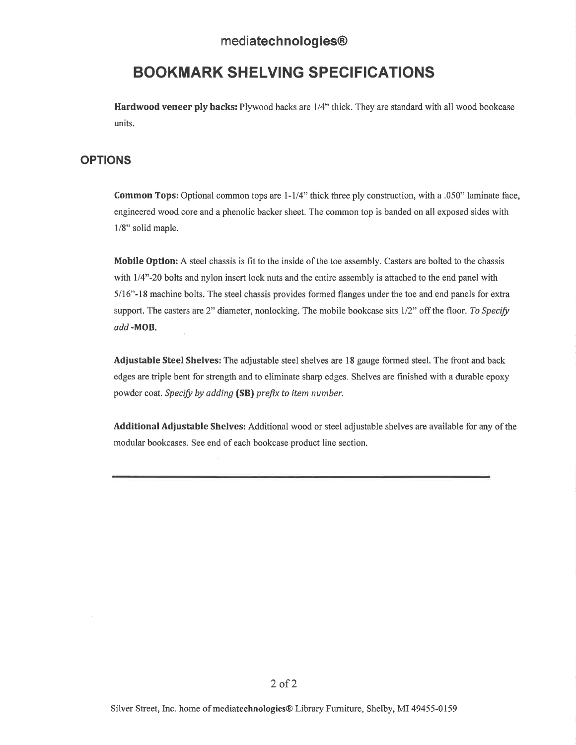## mediatechnologies<sup>®</sup>

# **BOOKMARK SHELVING SPECIFICATIONS**

**Hardwood veneer ply backs:** Plywood backs are 1/4" thick. They are standard with all wood bookcase units.

#### **OPTIONS**

**Common Tops:** Optional common tops are 1-1/4" thick three ply construction, with a .050" laminate face, engineered wood core and a phenolic backer sheet. The common top is banded on all exposed sides with 1/8" solid maple.

Mobile Option: A steel chassis is fit to the inside of the toe assembly. Casters are bolted to the chassis with 1/4"-20 bolts and nylon insert lock nuts and the entire assembly is attached to the end panel with 5/16"-18 machine bolts. The steel chassis provides formed flanges under the toe and end panels for extra support. The casters are 2" diameter, nonlocking. The mobile bookcase sits  $1/2$ " off the floor. To Specify add-MOB.

**Adjustable Steel Shelves:** The adjustable steel shelves are 18 gauge formed steel. The front and back edges are triple bent for strength and to eliminate sharp edges. Shelves are finished with a durable epoxy powder coat. Specify by adding (SB) prefix to item number.

Additional Adjustable Shelves: Additional wood or steel adjustable shelves are available for any of the modular bookcases. See end of each bookcase product line section.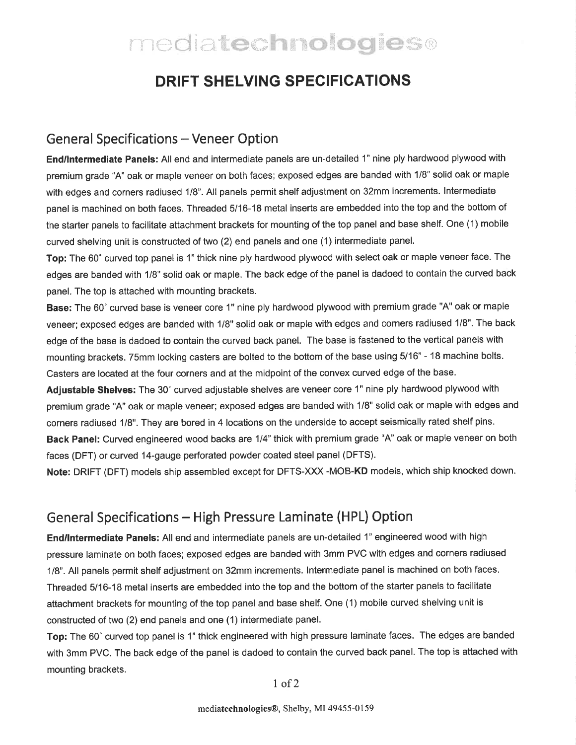# mediatechnologies®

# **DRIFT SHELVING SPECIFICATIONS**

## **General Specifications - Veneer Option**

End/Intermediate Panels: All end and intermediate panels are un-detailed 1" nine ply hardwood plywood with premium grade "A" oak or maple veneer on both faces; exposed edges are banded with 1/8" solid oak or maple with edges and corners radiused 1/8". All panels permit shelf adjustment on 32mm increments. Intermediate panel is machined on both faces. Threaded 5/16-18 metal inserts are embedded into the top and the bottom of the starter panels to facilitate attachment brackets for mounting of the top panel and base shelf. One (1) mobile curved shelving unit is constructed of two (2) end panels and one (1) intermediate panel.

Top: The 60° curved top panel is 1" thick nine ply hardwood plywood with select oak or maple veneer face. The edges are banded with 1/8" solid oak or maple. The back edge of the panel is dadoed to contain the curved back panel. The top is attached with mounting brackets.

Base: The 60° curved base is veneer core 1" nine ply hardwood plywood with premium grade "A" oak or maple veneer; exposed edges are banded with 1/8" solid oak or maple with edges and corners radiused 1/8". The back edge of the base is dadoed to contain the curved back panel. The base is fastened to the vertical panels with mounting brackets. 75mm locking casters are bolted to the bottom of the base using 5/16" - 18 machine bolts. Casters are located at the four corners and at the midpoint of the convex curved edge of the base.

Adjustable Shelves: The 30° curved adjustable shelves are veneer core 1" nine ply hardwood plywood with premium grade "A" oak or maple veneer; exposed edges are banded with 1/8" solid oak or maple with edges and corners radiused 1/8". They are bored in 4 locations on the underside to accept seismically rated shelf pins. Back Panel: Curved engineered wood backs are 1/4" thick with premium grade "A" oak or maple veneer on both faces (DFT) or curved 14-gauge perforated powder coated steel panel (DFTS).

Note: DRIFT (DFT) models ship assembled except for DFTS-XXX -MOB-KD models, which ship knocked down.

## General Specifications – High Pressure Laminate (HPL) Option

End/Intermediate Panels: All end and intermediate panels are un-detailed 1" engineered wood with high pressure laminate on both faces; exposed edges are banded with 3mm PVC with edges and corners radiused 1/8". All panels permit shelf adjustment on 32mm increments. Intermediate panel is machined on both faces. Threaded 5/16-18 metal inserts are embedded into the top and the bottom of the starter panels to facilitate attachment brackets for mounting of the top panel and base shelf. One (1) mobile curved shelving unit is constructed of two (2) end panels and one (1) intermediate panel.

Top: The 60° curved top panel is 1" thick engineered with high pressure laminate faces. The edges are banded with 3mm PVC. The back edge of the panel is dadoed to contain the curved back panel. The top is attached with mounting brackets.

 $1$  of  $2$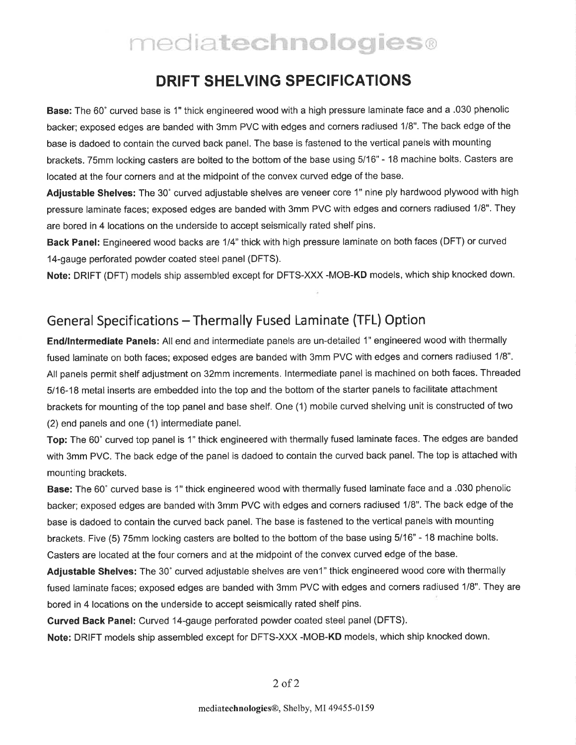# mediatechnologies®

# **DRIFT SHELVING SPECIFICATIONS**

Base: The 60° curved base is 1" thick engineered wood with a high pressure laminate face and a .030 phenolic backer; exposed edges are banded with 3mm PVC with edges and corners radiused 1/8". The back edge of the base is dadoed to contain the curved back panel. The base is fastened to the vertical panels with mounting brackets. 75mm locking casters are bolted to the bottom of the base using 5/16" - 18 machine bolts. Casters are located at the four corners and at the midpoint of the convex curved edge of the base.

Adjustable Shelves: The 30° curved adjustable shelves are veneer core 1" nine ply hardwood plywood with high pressure laminate faces; exposed edges are banded with 3mm PVC with edges and corners radiused 1/8". They are bored in 4 locations on the underside to accept seismically rated shelf pins.

Back Panel: Engineered wood backs are 1/4" thick with high pressure laminate on both faces (DFT) or curved 14-gauge perforated powder coated steel panel (DFTS).

Note: DRIFT (DFT) models ship assembled except for DFTS-XXX -MOB-KD models, which ship knocked down.

# General Specifications - Thermally Fused Laminate (TFL) Option

End/Intermediate Panels: All end and intermediate panels are un-detailed 1" engineered wood with thermally fused laminate on both faces; exposed edges are banded with 3mm PVC with edges and corners radiused 1/8". All panels permit shelf adjustment on 32mm increments. Intermediate panel is machined on both faces. Threaded 5/16-18 metal inserts are embedded into the top and the bottom of the starter panels to facilitate attachment brackets for mounting of the top panel and base shelf. One (1) mobile curved shelving unit is constructed of two (2) end panels and one (1) intermediate panel.

Top: The 60° curved top panel is 1" thick engineered with thermally fused laminate faces. The edges are banded with 3mm PVC. The back edge of the panel is dadoed to contain the curved back panel. The top is attached with mounting brackets.

Base: The 60° curved base is 1" thick engineered wood with thermally fused laminate face and a .030 phenolic backer; exposed edges are banded with 3mm PVC with edges and corners radiused 1/8". The back edge of the base is dadoed to contain the curved back panel. The base is fastened to the vertical panels with mounting brackets. Five (5) 75mm locking casters are bolted to the bottom of the base using 5/16" - 18 machine bolts. Casters are located at the four corners and at the midpoint of the convex curved edge of the base.

Adjustable Shelves: The 30° curved adjustable shelves are ven1" thick engineered wood core with thermally fused laminate faces; exposed edges are banded with 3mm PVC with edges and corners radiused 1/8". They are bored in 4 locations on the underside to accept seismically rated shelf pins.

Curved Back Panel: Curved 14-gauge perforated powder coated steel panel (DFTS).

Note: DRIFT models ship assembled except for DFTS-XXX -MOB-KD models, which ship knocked down.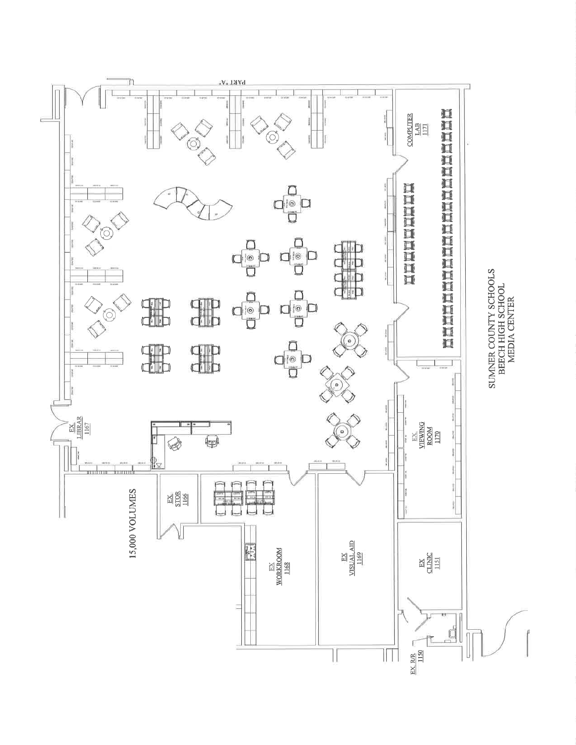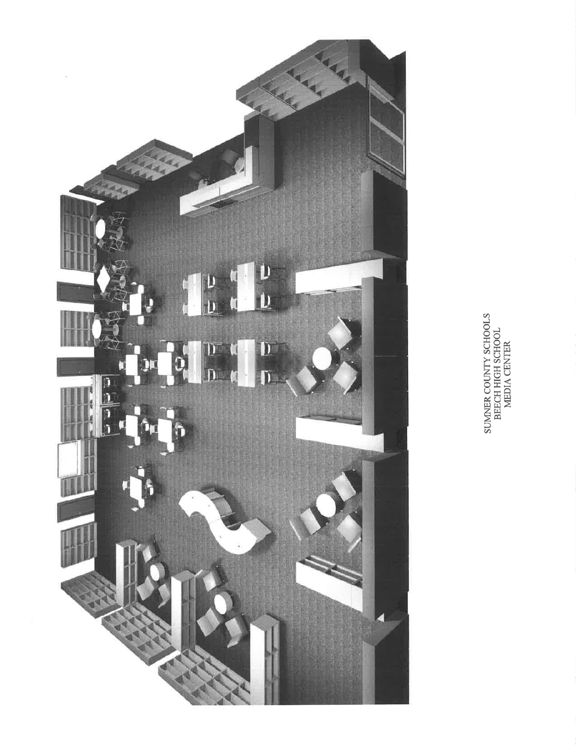

SUMMER COUNTY SCHOOLS<br>BEECH HIGH SCHOOL<br>MEDIA CENTER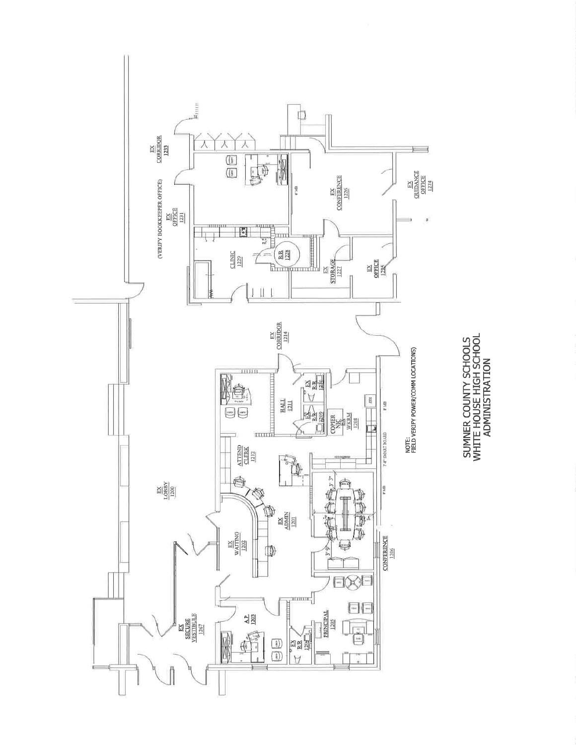

SUMNER COUNTY SCHOOLS<br>WHITE HOUSE HIGH SCHOOL<br>ADMINISTRATION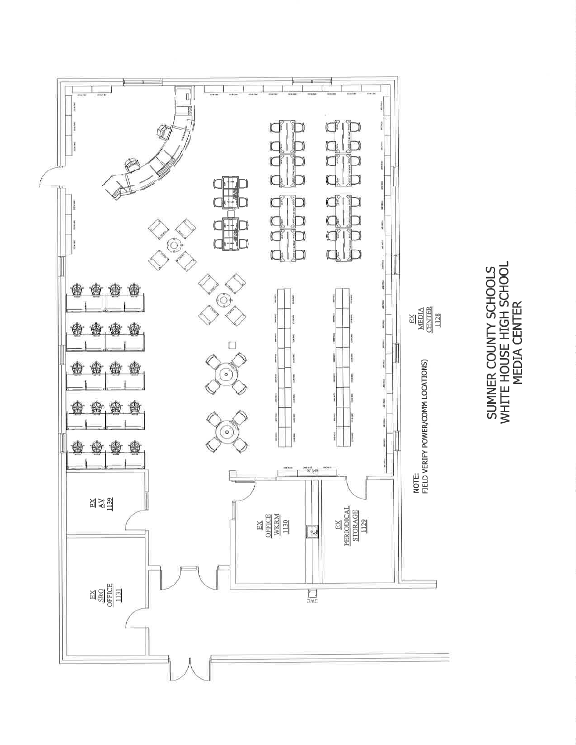

SUMNER COUNTY SCHOOLS<br>WHITE HOUSE HIGH SCHOOL<br>MEDIA CENTER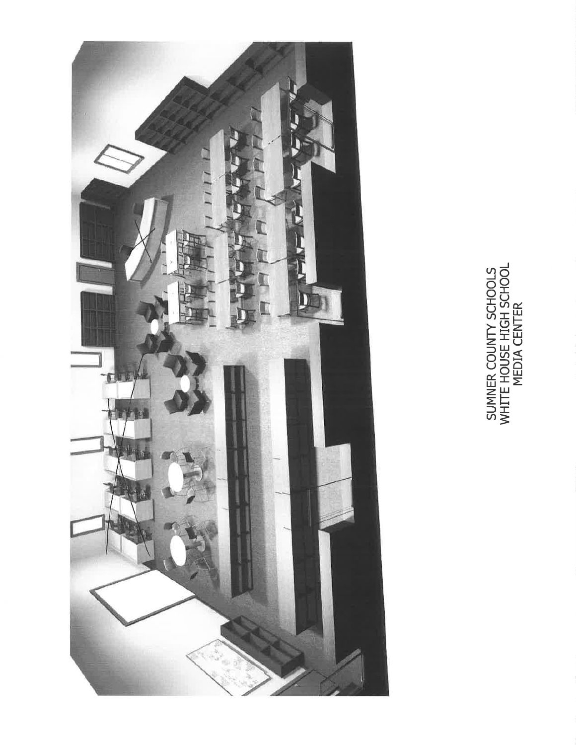

SUMNER COUNTY SCHOOLS<br>WHITE HOUSE HIGH SCHOOL<br>MEDIA CENTER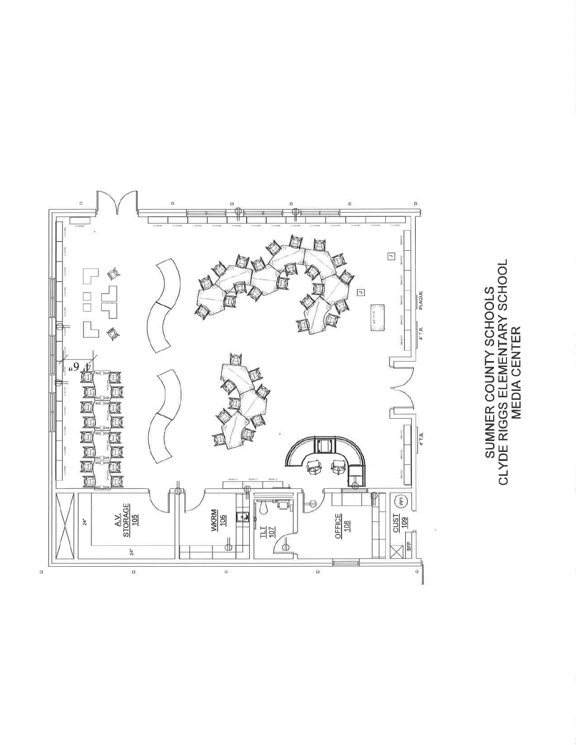

SUMNER COUNTY SCHOOLS<br>CLYDE RIGGS ELEMENTARY SCHOOL<br>MEDIA CENTER